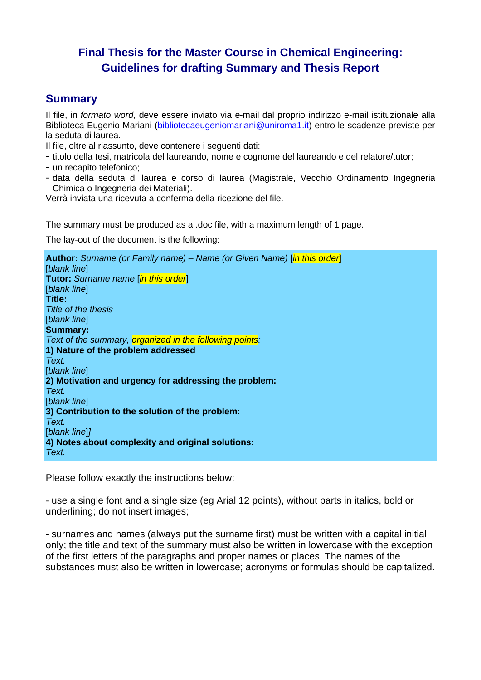# **Final Thesis for the Master Course in Chemical Engineering: Guidelines for drafting Summary and Thesis Report**

### **Summary**

Il file, in *formato word*, deve essere inviato via e-mail dal proprio indirizzo e-mail istituzionale alla Biblioteca [Eugenio Mariani](mailto:biblioteca-icm@pcicmbib1.ing.uniroma1.it) [\(bibliotecaeugeniomariani@uniroma1.it\)](mailto:biblioteca-icm@pcicmbib1.ing.uniroma1.it) entro le scadenze previste per la seduta di laurea.

Il file, oltre al riassunto, deve contenere i seguenti dati:

- titolo della tesi, matricola del laureando, nome e cognome del laureando e del relatore/tutor;
- un recapito telefonico;
- data della seduta di laurea e corso di laurea (Magistrale, Vecchio Ordinamento Ingegneria Chimica o Ingegneria dei Materiali).

Verrà inviata una ricevuta a conferma della ricezione del file.

The summary must be produced as a .doc file, with a maximum length of 1 page.

The lay-out of the document is the following:

**Author:** *Surname (or Family name) – Name (or Given Name)* [*in this order*] [*blank line*] **Tutor:** *Surname name* [*in this order*] [*blank line*] **Title:** *Title of the thesis* [*blank line*] **Summary:** *Text of the summary, organized in the following points:* **1) Nature of the problem addressed** *Text.* [*blank line*] **2) Motivation and urgency for addressing the problem:** *Text.* [*blank line*] **3) Contribution to the solution of the problem:** *Text.* [*blank line*]*]* **4) Notes about complexity and original solutions:** *Text.*

Please follow exactly the instructions below:

- use a single font and a single size (eg Arial 12 points), without parts in italics, bold or underlining; do not insert images;

- surnames and names (always put the surname first) must be written with a capital initial only; the title and text of the summary must also be written in lowercase with the exception of the first letters of the paragraphs and proper names or places. The names of the substances must also be written in lowercase; acronyms or formulas should be capitalized.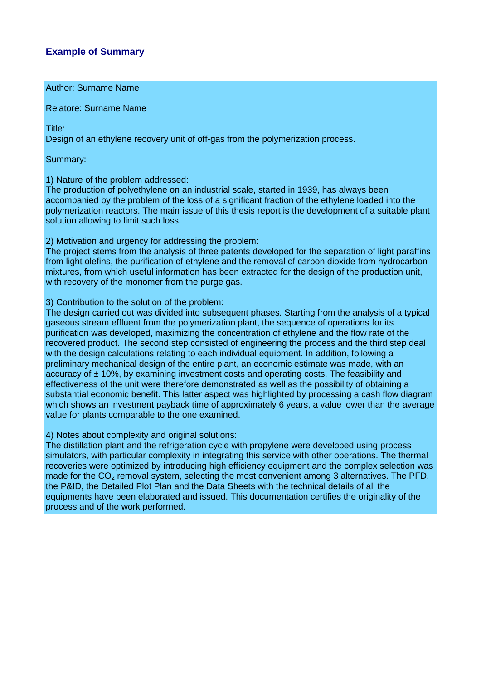### **Example of Summary**

Author: Surname Name

Relatore: Surname Name

Title:

Design of an ethylene recovery unit of off-gas from the polymerization process.

Summary:

1) Nature of the problem addressed:

The production of polyethylene on an industrial scale, started in 1939, has always been accompanied by the problem of the loss of a significant fraction of the ethylene loaded into the polymerization reactors. The main issue of this thesis report is the development of a suitable plant solution allowing to limit such loss.

2) Motivation and urgency for addressing the problem:

The project stems from the analysis of three patents developed for the separation of light paraffins from light olefins, the purification of ethylene and the removal of carbon dioxide from hydrocarbon mixtures, from which useful information has been extracted for the design of the production unit, with recovery of the monomer from the purge gas.

3) Contribution to the solution of the problem:

The design carried out was divided into subsequent phases. Starting from the analysis of a typical gaseous stream effluent from the polymerization plant, the sequence of operations for its purification was developed, maximizing the concentration of ethylene and the flow rate of the recovered product. The second step consisted of engineering the process and the third step deal with the design calculations relating to each individual equipment. In addition, following a preliminary mechanical design of the entire plant, an economic estimate was made, with an accuracy of  $\pm$  10%, by examining investment costs and operating costs. The feasibility and effectiveness of the unit were therefore demonstrated as well as the possibility of obtaining a substantial economic benefit. This latter aspect was highlighted by processing a cash flow diagram which shows an investment payback time of approximately 6 years, a value lower than the average value for plants comparable to the one examined.

4) Notes about complexity and original solutions:

The distillation plant and the refrigeration cycle with propylene were developed using process simulators, with particular complexity in integrating this service with other operations. The thermal recoveries were optimized by introducing high efficiency equipment and the complex selection was made for the  $CO<sub>2</sub>$  removal system, selecting the most convenient among 3 alternatives. The PFD, the P&ID, the Detailed Plot Plan and the Data Sheets with the technical details of all the equipments have been elaborated and issued. This documentation certifies the originality of the process and of the work performed.